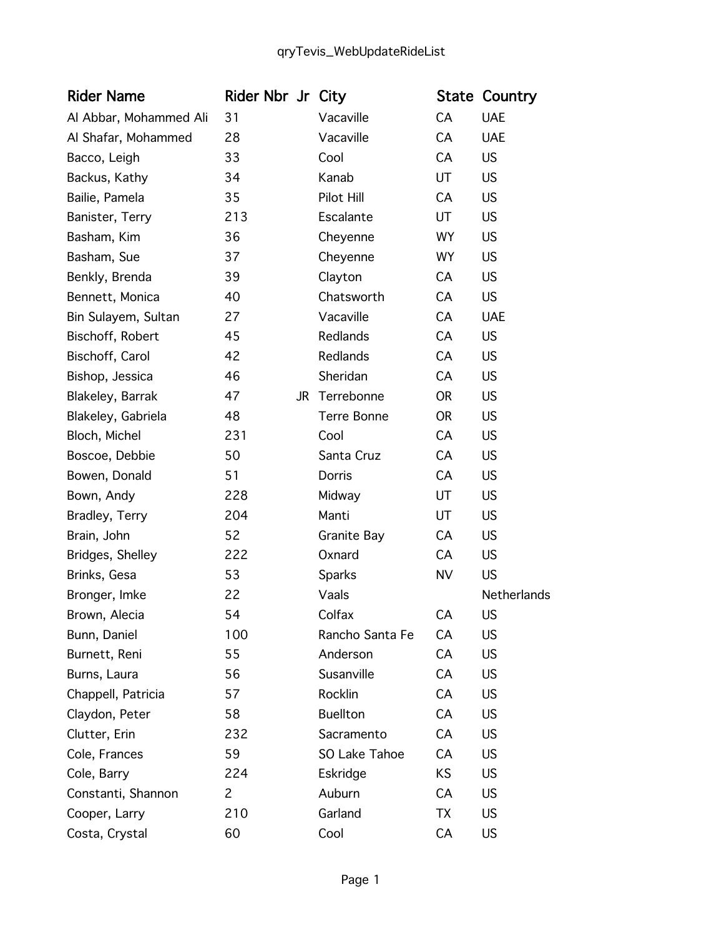| <b>Rider Name</b>      | Rider Nbr Jr City |                    |           | <b>State Country</b> |
|------------------------|-------------------|--------------------|-----------|----------------------|
| Al Abbar, Mohammed Ali | 31                | Vacaville          | CA        | <b>UAE</b>           |
| Al Shafar, Mohammed    | 28                | Vacaville          | CA        | <b>UAE</b>           |
| Bacco, Leigh           | 33                | Cool               | CA        | <b>US</b>            |
| Backus, Kathy          | 34                | Kanab              | UT        | <b>US</b>            |
| Bailie, Pamela         | 35                | Pilot Hill         | CA        | <b>US</b>            |
| Banister, Terry        | 213               | Escalante          | UT        | <b>US</b>            |
| Basham, Kim            | 36                | Cheyenne           | <b>WY</b> | <b>US</b>            |
| Basham, Sue            | 37                | Cheyenne           | <b>WY</b> | <b>US</b>            |
| Benkly, Brenda         | 39                | Clayton            | CA        | <b>US</b>            |
| Bennett, Monica        | 40                | Chatsworth         | CA        | <b>US</b>            |
| Bin Sulayem, Sultan    | 27                | Vacaville          | CA        | <b>UAE</b>           |
| Bischoff, Robert       | 45                | Redlands           | CA        | <b>US</b>            |
| Bischoff, Carol        | 42                | Redlands           | CA        | <b>US</b>            |
| Bishop, Jessica        | 46                | Sheridan           | CA        | <b>US</b>            |
| Blakeley, Barrak       | 47                | JR Terrebonne      | <b>OR</b> | <b>US</b>            |
| Blakeley, Gabriela     | 48                | Terre Bonne        | <b>OR</b> | <b>US</b>            |
| Bloch, Michel          | 231               | Cool               | CA        | <b>US</b>            |
| Boscoe, Debbie         | 50                | Santa Cruz         | CA        | <b>US</b>            |
| Bowen, Donald          | 51                | Dorris             | CA        | <b>US</b>            |
| Bown, Andy             | 228               | Midway             | UT        | <b>US</b>            |
| Bradley, Terry         | 204               | Manti              | UT        | <b>US</b>            |
| Brain, John            | 52                | <b>Granite Bay</b> | CA        | <b>US</b>            |
| Bridges, Shelley       | 222               | Oxnard             | CA        | <b>US</b>            |
| Brinks, Gesa           | 53                | Sparks             | <b>NV</b> | <b>US</b>            |
| Bronger, Imke          | 22                | Vaals              |           | Netherlands          |
| Brown, Alecia          | 54                | Colfax             | CA        | US                   |
| Bunn, Daniel           | 100               | Rancho Santa Fe    | CA        | US                   |
| Burnett, Reni          | 55                | Anderson           | CA        | <b>US</b>            |
| Burns, Laura           | 56                | Susanville         | CA        | <b>US</b>            |
| Chappell, Patricia     | 57                | Rocklin            | CA        | <b>US</b>            |
| Claydon, Peter         | 58                | <b>Buellton</b>    | СA        | <b>US</b>            |
| Clutter, Erin          | 232               | Sacramento         | CA        | <b>US</b>            |
| Cole, Frances          | 59                | SO Lake Tahoe      | СA        | <b>US</b>            |
| Cole, Barry            | 224               | Eskridge           | KS        | <b>US</b>            |
| Constanti, Shannon     | 2                 | Auburn             | CA        | <b>US</b>            |
| Cooper, Larry          | 210               | Garland            | TX        | <b>US</b>            |
| Costa, Crystal         | 60                | Cool               | CA        | <b>US</b>            |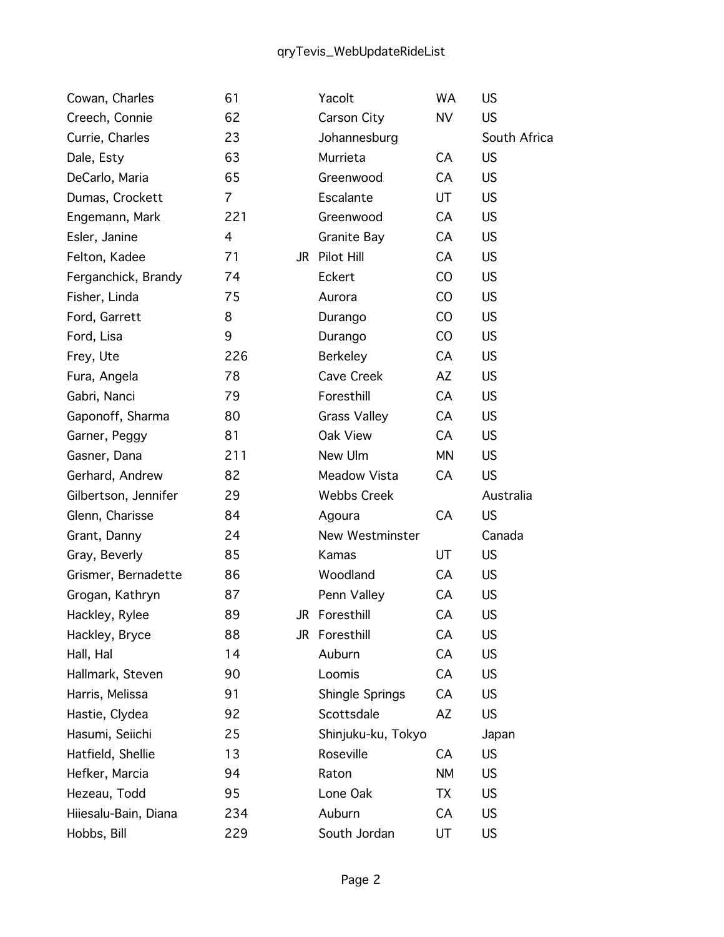| Cowan, Charles       | 61             | Yacolt              | WA        | <b>US</b>    |
|----------------------|----------------|---------------------|-----------|--------------|
| Creech, Connie       | 62             | Carson City         | <b>NV</b> | US.          |
| Currie, Charles      | 23             | Johannesburg        |           | South Africa |
| Dale, Esty           | 63             | Murrieta            | CA        | <b>US</b>    |
| DeCarlo, Maria       | 65             | Greenwood           | CA        | <b>US</b>    |
| Dumas, Crockett      | $\overline{7}$ | Escalante           | UT        | US.          |
| Engemann, Mark       | 221            | Greenwood           | CA        | <b>US</b>    |
| Esler, Janine        | 4              | <b>Granite Bay</b>  | CA        | <b>US</b>    |
| Felton, Kadee        | 71             | JR Pilot Hill       | CA        | <b>US</b>    |
| Ferganchick, Brandy  | 74             | Eckert              | CO        | <b>US</b>    |
| Fisher, Linda        | 75             | Aurora              | CO        | US.          |
| Ford, Garrett        | 8              | Durango             | CO        | <b>US</b>    |
| Ford, Lisa           | 9              | Durango             | CO        | <b>US</b>    |
| Frey, Ute            | 226            | <b>Berkeley</b>     | CA        | <b>US</b>    |
| Fura, Angela         | 78             | Cave Creek          | AZ        | <b>US</b>    |
| Gabri, Nanci         | 79             | Foresthill          | CA        | US.          |
| Gaponoff, Sharma     | 80             | <b>Grass Valley</b> | CA        | <b>US</b>    |
| Garner, Peggy        | 81             | Oak View            | CA        | <b>US</b>    |
| Gasner, Dana         | 211            | New Ulm             | MN        | US.          |
| Gerhard, Andrew      | 82             | Meadow Vista        | CA        | <b>US</b>    |
| Gilbertson, Jennifer | 29             | <b>Webbs Creek</b>  |           | Australia    |
| Glenn, Charisse      | 84             | Agoura              | CA        | <b>US</b>    |
| Grant, Danny         | 24             | New Westminster     |           | Canada       |
| Gray, Beverly        | 85             | Kamas               | UT        | US.          |
| Grismer, Bernadette  | 86             | Woodland            | CA        | <b>US</b>    |
| Grogan, Kathryn      | 87             | Penn Valley         | CA        | US.          |
| Hackley, Rylee       | 89             | JR Foresthill       | CA        | US           |
| Hackley, Bryce       | 88             | JR Foresthill       | CA        | <b>US</b>    |
| Hall, Hal            | 14             | Auburn              | CA        | US.          |
| Hallmark, Steven     | 90             | Loomis              | CA        | US           |
| Harris, Melissa      | 91             | Shingle Springs     | CA        | <b>US</b>    |
| Hastie, Clydea       | 92             | Scottsdale          | AZ        | US.          |
| Hasumi, Seiichi      | 25             | Shinjuku-ku, Tokyo  |           | Japan        |
| Hatfield, Shellie    | 13             | Roseville           | CA        | US.          |
| Hefker, Marcia       | 94             | Raton               | <b>NM</b> | US           |
| Hezeau, Todd         | 95             | Lone Oak            | TX        | US.          |
| Hiiesalu-Bain, Diana | 234            | Auburn              | CA        | US.          |
| Hobbs, Bill          | 229            | South Jordan        | UT        | US.          |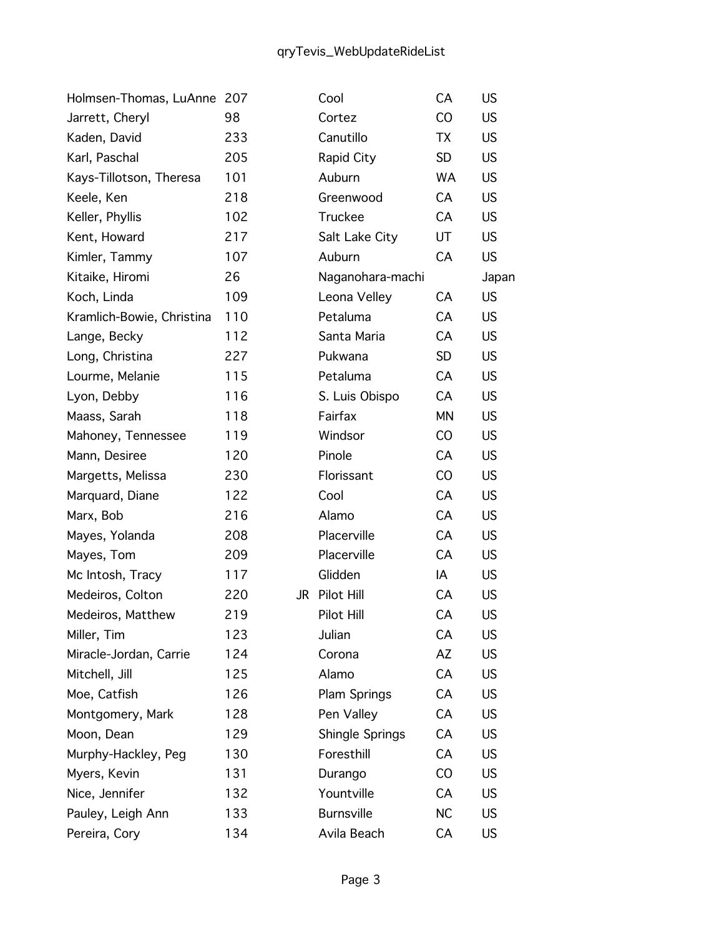| Holmsen-Thomas, LuAnne    | 207 |    | Cool              | CA        | US        |
|---------------------------|-----|----|-------------------|-----------|-----------|
| Jarrett, Cheryl           | 98  |    | Cortez            | CO        | US.       |
| Kaden, David              | 233 |    | Canutillo         | TX        | US        |
| Karl, Paschal             | 205 |    | Rapid City        | <b>SD</b> | US.       |
| Kays-Tillotson, Theresa   | 101 |    | Auburn            | WA        | <b>US</b> |
| Keele, Ken                | 218 |    | Greenwood         | CA        | US.       |
| Keller, Phyllis           | 102 |    | Truckee           | CA        | <b>US</b> |
| Kent, Howard              | 217 |    | Salt Lake City    | UT        | <b>US</b> |
| Kimler, Tammy             | 107 |    | Auburn            | CA        | US.       |
| Kitaike, Hiromi           | 26  |    | Naganohara-machi  |           | Japan     |
| Koch, Linda               | 109 |    | Leona Velley      | CA        | US        |
| Kramlich-Bowie, Christina | 110 |    | Petaluma          | CA        | US.       |
| Lange, Becky              | 112 |    | Santa Maria       | CA        | US.       |
| Long, Christina           | 227 |    | Pukwana           | <b>SD</b> | US.       |
| Lourme, Melanie           | 115 |    | Petaluma          | CA        | <b>US</b> |
| Lyon, Debby               | 116 |    | S. Luis Obispo    | CA        | <b>US</b> |
| Maass, Sarah              | 118 |    | Fairfax           | <b>MN</b> | <b>US</b> |
| Mahoney, Tennessee        | 119 |    | Windsor           | CO        | US        |
| Mann, Desiree             | 120 |    | Pinole            | CA        | <b>US</b> |
| Margetts, Melissa         | 230 |    | Florissant        | CO        | <b>US</b> |
| Marquard, Diane           | 122 |    | Cool              | CA        | <b>US</b> |
| Marx, Bob                 | 216 |    | Alamo             | CA        | <b>US</b> |
| Mayes, Yolanda            | 208 |    | Placerville       | CA        | <b>US</b> |
| Mayes, Tom                | 209 |    | Placerville       | CA        | <b>US</b> |
| Mc Intosh, Tracy          | 117 |    | Glidden           | IA        | <b>US</b> |
| Medeiros, Colton          | 220 | JR | Pilot Hill        | CA        | <b>US</b> |
| Medeiros, Matthew         | 219 |    | Pilot Hill        | CA        | US        |
| Miller, Tim               | 123 |    | Julian            | CA        | US        |
| Miracle-Jordan, Carrie    | 124 |    | Corona            | AZ        | <b>US</b> |
| Mitchell, Jill            | 125 |    | Alamo             | CA        | US        |
| Moe, Catfish              | 126 |    | Plam Springs      | CA        | US        |
| Montgomery, Mark          | 128 |    | Pen Valley        | CA        | US        |
| Moon, Dean                | 129 |    | Shingle Springs   | CA        | US        |
| Murphy-Hackley, Peg       | 130 |    | Foresthill        | CA        | US        |
| Myers, Kevin              | 131 |    | Durango           | CO        | US        |
| Nice, Jennifer            | 132 |    | Yountville        | CA        | US        |
| Pauley, Leigh Ann         | 133 |    | <b>Burnsville</b> | <b>NC</b> | US        |
| Pereira, Cory             | 134 |    | Avila Beach       | CA        | US        |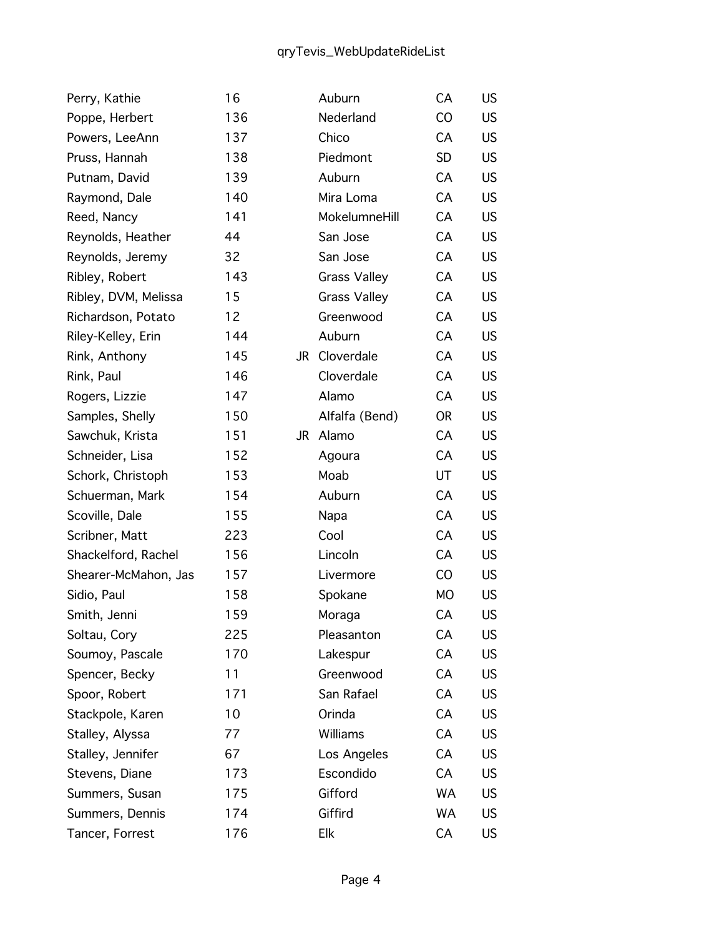| Perry, Kathie        | 16  |    | Auburn              | CA        | US.       |
|----------------------|-----|----|---------------------|-----------|-----------|
| Poppe, Herbert       | 136 |    | Nederland           | CO        | <b>US</b> |
| Powers, LeeAnn       | 137 |    | Chico               | CA        | <b>US</b> |
| Pruss, Hannah        | 138 |    | Piedmont            | <b>SD</b> | US.       |
| Putnam, David        | 139 |    | Auburn              | CA        | <b>US</b> |
| Raymond, Dale        | 140 |    | Mira Loma           | CA        | <b>US</b> |
| Reed, Nancy          | 141 |    | MokelumneHill       | CA        | <b>US</b> |
| Reynolds, Heather    | 44  |    | San Jose            | CA        | <b>US</b> |
| Reynolds, Jeremy     | 32  |    | San Jose            | CA        | US.       |
| Ribley, Robert       | 143 |    | <b>Grass Valley</b> | CA        | <b>US</b> |
| Ribley, DVM, Melissa | 15  |    | <b>Grass Valley</b> | CA        | <b>US</b> |
| Richardson, Potato   | 12  |    | Greenwood           | CA        | US.       |
| Riley-Kelley, Erin   | 144 |    | Auburn              | CA        | <b>US</b> |
| Rink, Anthony        | 145 | JR | Cloverdale          | CA        | US.       |
| Rink, Paul           | 146 |    | Cloverdale          | CA        | <b>US</b> |
| Rogers, Lizzie       | 147 |    | Alamo               | CA        | <b>US</b> |
| Samples, Shelly      | 150 |    | Alfalfa (Bend)      | <b>OR</b> | US.       |
| Sawchuk, Krista      | 151 | JR | Alamo               | CA        | <b>US</b> |
| Schneider, Lisa      | 152 |    | Agoura              | CA        | US.       |
| Schork, Christoph    | 153 |    | Moab                | UT        | <b>US</b> |
| Schuerman, Mark      | 154 |    | Auburn              | CA        | <b>US</b> |
| Scoville, Dale       | 155 |    | Napa                | CA        | <b>US</b> |
| Scribner, Matt       | 223 |    | Cool                | CA        | <b>US</b> |
| Shackelford, Rachel  | 156 |    | Lincoln             | CA        | US.       |
| Shearer-McMahon, Jas | 157 |    | Livermore           | CO        | <b>US</b> |
| Sidio, Paul          | 158 |    | Spokane             | <b>MO</b> | <b>US</b> |
| Smith, Jenni         | 159 |    | Moraga              | CA        | <b>US</b> |
| Soltau, Cory         | 225 |    | Pleasanton          | CA        | US.       |
| Soumoy, Pascale      | 170 |    | Lakespur            | CA        | US.       |
| Spencer, Becky       | 11  |    | Greenwood           | CA        | US.       |
| Spoor, Robert        | 171 |    | San Rafael          | CA        | US.       |
| Stackpole, Karen     | 10  |    | Orinda              | CA        | US.       |
| Stalley, Alyssa      | 77  |    | Williams            | CA        | US.       |
| Stalley, Jennifer    | 67  |    | Los Angeles         | CA        | US.       |
| Stevens, Diane       | 173 |    | Escondido           | CA        | US.       |
| Summers, Susan       | 175 |    | Gifford             | <b>WA</b> | US.       |
| Summers, Dennis      | 174 |    | Giffird             | WA        | US.       |
| Tancer, Forrest      | 176 |    | Elk                 | CA        | US.       |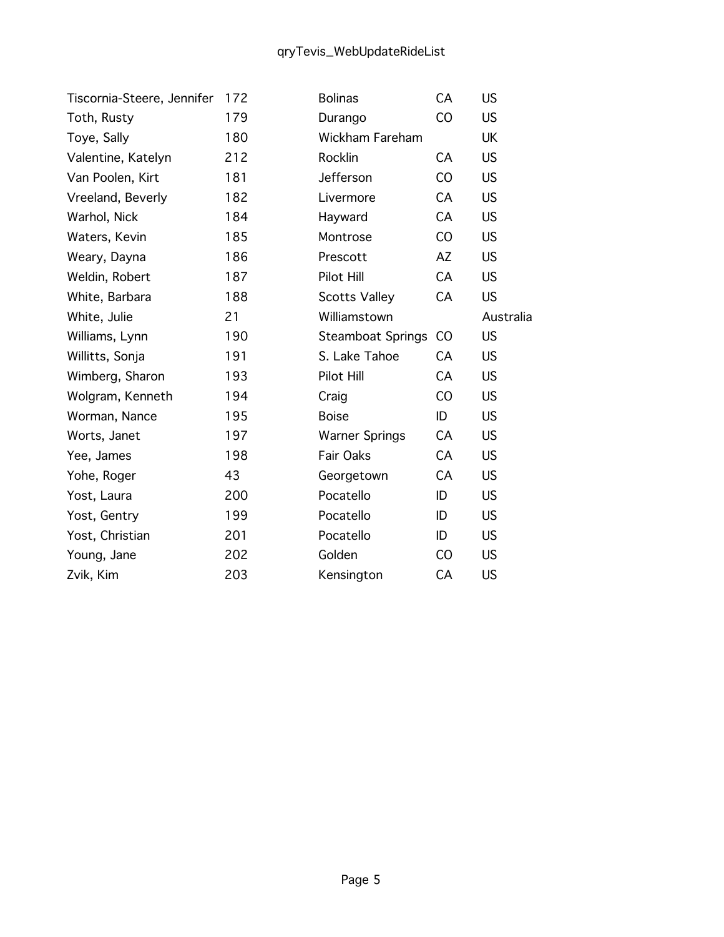| Tiscornia-Steere, Jennifer | 172 | <b>Bolinas</b>           | CA | <b>US</b> |
|----------------------------|-----|--------------------------|----|-----------|
| Toth, Rusty                | 179 | Durango                  | CO | <b>US</b> |
| Toye, Sally                | 180 | <b>Wickham Fareham</b>   |    | UK        |
| Valentine, Katelyn         | 212 | Rocklin                  | CA | <b>US</b> |
| Van Poolen, Kirt           | 181 | Jefferson                | CO | <b>US</b> |
| Vreeland, Beverly          | 182 | Livermore                | CA | <b>US</b> |
| Warhol, Nick               | 184 | Hayward                  | CA | <b>US</b> |
| Waters, Kevin              | 185 | Montrose                 | CO | <b>US</b> |
| Weary, Dayna               | 186 | Prescott                 | AZ | <b>US</b> |
| Weldin, Robert             | 187 | Pilot Hill               | CA | <b>US</b> |
| White, Barbara             | 188 | <b>Scotts Valley</b>     | CA | <b>US</b> |
| White, Julie               | 21  | Williamstown             |    | Australia |
| Williams, Lynn             | 190 | <b>Steamboat Springs</b> | CO | <b>US</b> |
| Willitts, Sonja            | 191 | S. Lake Tahoe            | CA | <b>US</b> |
| Wimberg, Sharon            | 193 | Pilot Hill               | CA | <b>US</b> |
| Wolgram, Kenneth           | 194 | Craig                    | CO | <b>US</b> |
| Worman, Nance              | 195 | <b>Boise</b>             | ID | <b>US</b> |
| Worts, Janet               | 197 | <b>Warner Springs</b>    | CA | <b>US</b> |
| Yee, James                 | 198 | Fair Oaks                | CA | <b>US</b> |
| Yohe, Roger                | 43  | Georgetown               | CA | <b>US</b> |
| Yost, Laura                | 200 | Pocatello                | ID | <b>US</b> |
| Yost, Gentry               | 199 | Pocatello                | ID | <b>US</b> |
| Yost, Christian            | 201 | Pocatello                | ID | <b>US</b> |
| Young, Jane                | 202 | Golden                   | CO | <b>US</b> |
| Zvik, Kim                  | 203 | Kensington               | CA | <b>US</b> |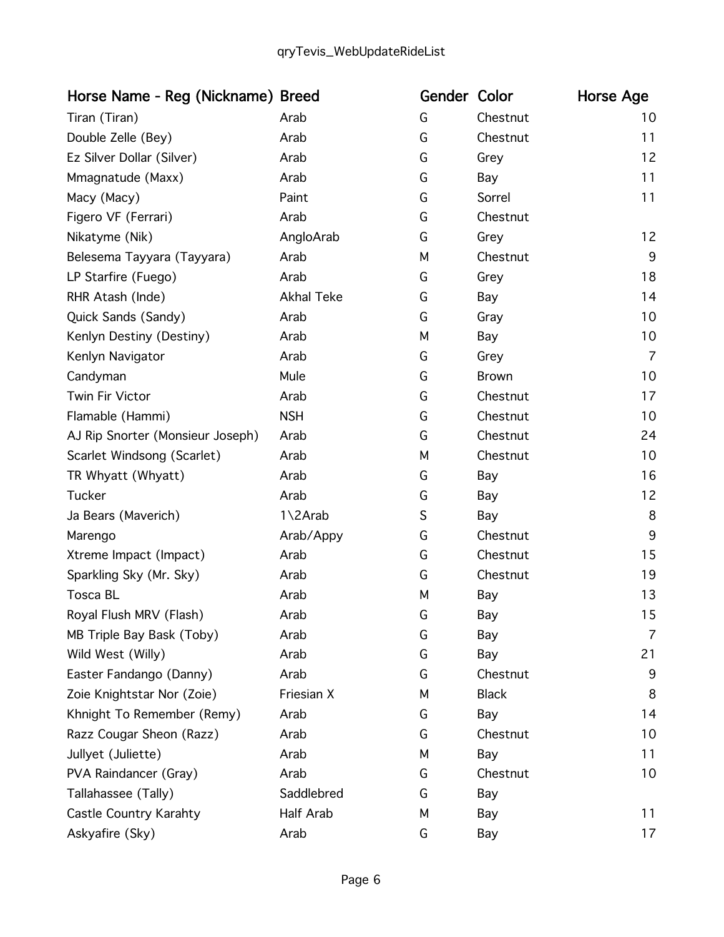| Horse Name - Reg (Nickname) Breed |                   | Gender Color |              | Horse Age      |
|-----------------------------------|-------------------|--------------|--------------|----------------|
| Tiran (Tiran)                     | Arab              | G            | Chestnut     | 10             |
| Double Zelle (Bey)                | Arab              | G            | Chestnut     | 11             |
| Ez Silver Dollar (Silver)         | Arab              | G            | Grey         | 12             |
| Mmagnatude (Maxx)                 | Arab              | G            | Bay          | 11             |
| Macy (Macy)                       | Paint             | G            | Sorrel       | 11             |
| Figero VF (Ferrari)               | Arab              | G            | Chestnut     |                |
| Nikatyme (Nik)                    | AngloArab         | G            | Grey         | 12             |
| Belesema Tayyara (Tayyara)        | Arab              | M            | Chestnut     | 9              |
| LP Starfire (Fuego)               | Arab              | G            | Grey         | 18             |
| RHR Atash (Inde)                  | <b>Akhal Teke</b> | G            | Bay          | 14             |
| Quick Sands (Sandy)               | Arab              | G            | Gray         | 10             |
| Kenlyn Destiny (Destiny)          | Arab              | М            | Bay          | 10             |
| Kenlyn Navigator                  | Arab              | G            | Grey         | $\overline{7}$ |
| Candyman                          | Mule              | G            | <b>Brown</b> | 10             |
| Twin Fir Victor                   | Arab              | G            | Chestnut     | 17             |
| Flamable (Hammi)                  | <b>NSH</b>        | G            | Chestnut     | 10             |
| AJ Rip Snorter (Monsieur Joseph)  | Arab              | G            | Chestnut     | 24             |
| Scarlet Windsong (Scarlet)        | Arab              | M            | Chestnut     | 10             |
| TR Whyatt (Whyatt)                | Arab              | G            | Bay          | 16             |
| <b>Tucker</b>                     | Arab              | G            | Bay          | 12             |
| Ja Bears (Maverich)               | 1\2Arab           | S            | Bay          | 8              |
| Marengo                           | Arab/Appy         | G            | Chestnut     | 9              |
| Xtreme Impact (Impact)            | Arab              | G            | Chestnut     | 15             |
| Sparkling Sky (Mr. Sky)           | Arab              | G            | Chestnut     | 19             |
| Tosca BL                          | Arab              | M            | Bay          | 13             |
| Royal Flush MRV (Flash)           | Arab              | G            | Bay          | 15             |
| MB Triple Bay Bask (Toby)         | Arab              | G            | Bay          | 7              |
| Wild West (Willy)                 | Arab              | G            | Bay          | 21             |
| Easter Fandango (Danny)           | Arab              | G            | Chestnut     | 9              |
| Zoie Knightstar Nor (Zoie)        | Friesian X        | М            | <b>Black</b> | 8              |
| Khnight To Remember (Remy)        | Arab              | G            | Bay          | 14             |
| Razz Cougar Sheon (Razz)          | Arab              | G            | Chestnut     | 10             |
| Jullyet (Juliette)                | Arab              | М            | Bay          | 11             |
| PVA Raindancer (Gray)             | Arab              | G            | Chestnut     | 10             |
| Tallahassee (Tally)               | Saddlebred        | G            | Bay          |                |
| Castle Country Karahty            | Half Arab         | М            | Bay          | 11             |
| Askyafire (Sky)                   | Arab              | G            | Bay          | 17             |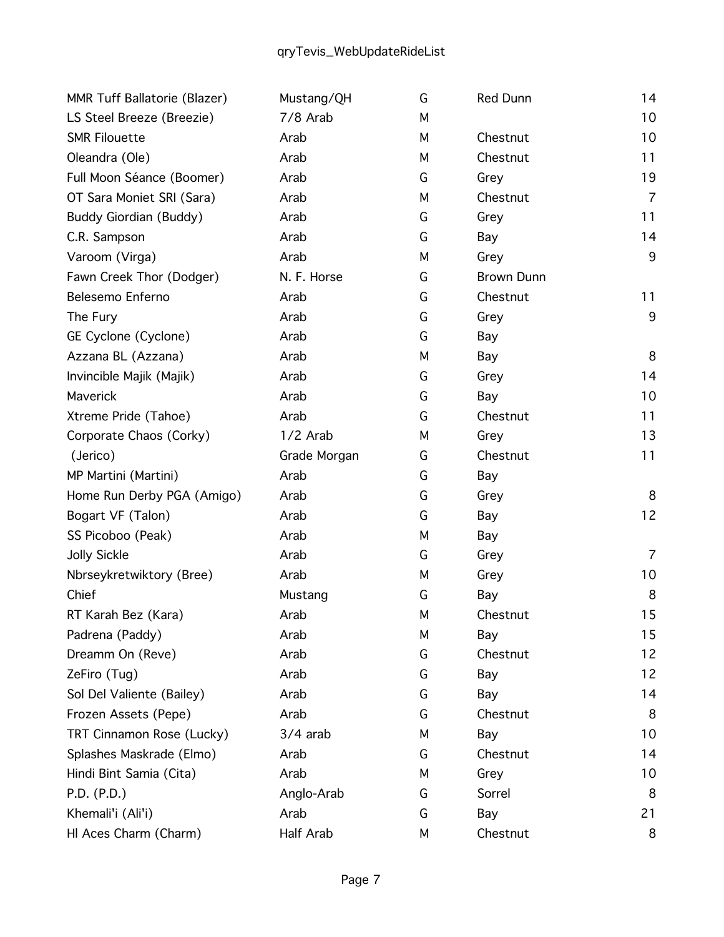| MMR Tuff Ballatorie (Blazer) | Mustang/QH   | G | <b>Red Dunn</b>   | 14             |
|------------------------------|--------------|---|-------------------|----------------|
| LS Steel Breeze (Breezie)    | 7/8 Arab     | М |                   | 10             |
| <b>SMR Filouette</b>         | Arab         | М | Chestnut          | 10             |
| Oleandra (Ole)               | Arab         | М | Chestnut          | 11             |
| Full Moon Séance (Boomer)    | Arab         | G | Grey              | 19             |
| OT Sara Moniet SRI (Sara)    | Arab         | М | Chestnut          | $\overline{7}$ |
| Buddy Giordian (Buddy)       | Arab         | G | Grey              | 11             |
| C.R. Sampson                 | Arab         | G | Bay               | 14             |
| Varoom (Virga)               | Arab         | М | Grey              | 9              |
| Fawn Creek Thor (Dodger)     | N. F. Horse  | G | <b>Brown Dunn</b> |                |
| Belesemo Enferno             | Arab         | G | Chestnut          | 11             |
| The Fury                     | Arab         | G | Grey              | $9\,$          |
| GE Cyclone (Cyclone)         | Arab         | G | Bay               |                |
| Azzana BL (Azzana)           | Arab         | М | Bay               | 8              |
| Invincible Majik (Majik)     | Arab         | G | Grey              | 14             |
| Maverick                     | Arab         | G | Bay               | 10             |
| Xtreme Pride (Tahoe)         | Arab         | G | Chestnut          | 11             |
| Corporate Chaos (Corky)      | $1/2$ Arab   | М | Grey              | 13             |
| (Jerico)                     | Grade Morgan | G | Chestnut          | 11             |
| MP Martini (Martini)         | Arab         | G | Bay               |                |
| Home Run Derby PGA (Amigo)   | Arab         | G | Grey              | 8              |
| Bogart VF (Talon)            | Arab         | G | Bay               | 12             |
| SS Picoboo (Peak)            | Arab         | М | Bay               |                |
| <b>Jolly Sickle</b>          | Arab         | G | Grey              | $\overline{7}$ |
| Nbrseykretwiktory (Bree)     | Arab         | М | Grey              | 10             |
| Chief                        | Mustang      | G | Bay               | 8              |
| RT Karah Bez (Kara)          | Arab         | М | Chestnut          | 15             |
| Padrena (Paddy)              | Arab         | М | Bay               | 15             |
| Dreamm On (Reve)             | Arab         | G | Chestnut          | 12             |
| ZeFiro (Tug)                 | Arab         | G | Bay               | 12             |
| Sol Del Valiente (Bailey)    | Arab         | G | Bay               | 14             |
| Frozen Assets (Pepe)         | Arab         | G | Chestnut          | 8              |
| TRT Cinnamon Rose (Lucky)    | $3/4$ arab   | М | Bay               | 10             |
| Splashes Maskrade (Elmo)     | Arab         | G | Chestnut          | 14             |
| Hindi Bint Samia (Cita)      | Arab         | М | Grey              | 10             |
| P.D. (P.D.)                  | Anglo-Arab   | G | Sorrel            | 8              |
| Khemali'i (Ali'i)            | Arab         | G | Bay               | 21             |
| HI Aces Charm (Charm)        | Half Arab    | М | Chestnut          | 8              |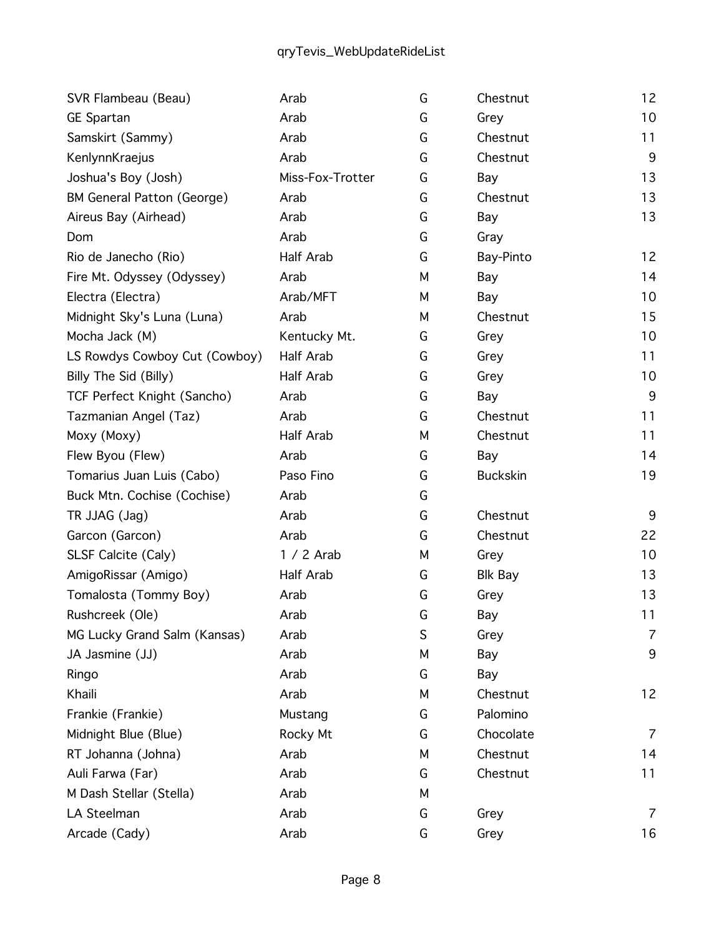| SVR Flambeau (Beau)               | Arab             | G | Chestnut        | 12 |
|-----------------------------------|------------------|---|-----------------|----|
| <b>GE Spartan</b>                 | Arab             | G | Grey            | 10 |
| Samskirt (Sammy)                  | Arab             | G | Chestnut        | 11 |
| KenlynnKraejus                    | Arab             | G | Chestnut        | 9  |
| Joshua's Boy (Josh)               | Miss-Fox-Trotter | G | Bay             | 13 |
| <b>BM General Patton (George)</b> | Arab             | G | Chestnut        | 13 |
| Aireus Bay (Airhead)              | Arab             | G | Bay             | 13 |
| Dom                               | Arab             | G | Gray            |    |
| Rio de Janecho (Rio)              | Half Arab        | G | Bay-Pinto       | 12 |
| Fire Mt. Odyssey (Odyssey)        | Arab             | М | Bay             | 14 |
| Electra (Electra)                 | Arab/MFT         | М | Bay             | 10 |
| Midnight Sky's Luna (Luna)        | Arab             | М | Chestnut        | 15 |
| Mocha Jack (M)                    | Kentucky Mt.     | G | Grey            | 10 |
| LS Rowdys Cowboy Cut (Cowboy)     | Half Arab        | G | Grey            | 11 |
| Billy The Sid (Billy)             | Half Arab        | G | Grey            | 10 |
| TCF Perfect Knight (Sancho)       | Arab             | G | Bay             | 9  |
| Tazmanian Angel (Taz)             | Arab             | G | Chestnut        | 11 |
| Moxy (Moxy)                       | Half Arab        | М | Chestnut        | 11 |
| Flew Byou (Flew)                  | Arab             | G | Bay             | 14 |
| Tomarius Juan Luis (Cabo)         | Paso Fino        | G | <b>Buckskin</b> | 19 |
| Buck Mtn. Cochise (Cochise)       | Arab             | G |                 |    |
| TR JJAG (Jag)                     | Arab             | G | Chestnut        | 9  |
| Garcon (Garcon)                   | Arab             | G | Chestnut        | 22 |
| SLSF Calcite (Caly)               | $1/2$ Arab       | М | Grey            | 10 |
| AmigoRissar (Amigo)               | Half Arab        | G | <b>Blk Bay</b>  | 13 |
| Tomalosta (Tommy Boy)             | Arab             | G | Grey            | 13 |
| Rushcreek (Ole)                   | Arab             | G | Bay             | 11 |
| MG Lucky Grand Salm (Kansas)      | Arab             | S | Grey            | 7  |
| JA Jasmine (JJ)                   | Arab             | М | Bay             | 9  |
| Ringo                             | Arab             | G | Bay             |    |
| Khaili                            | Arab             | М | Chestnut        | 12 |
| Frankie (Frankie)                 | Mustang          | G | Palomino        |    |
| Midnight Blue (Blue)              | Rocky Mt         | G | Chocolate       | 7  |
| RT Johanna (Johna)                | Arab             | М | Chestnut        | 14 |
| Auli Farwa (Far)                  | Arab             | G | Chestnut        | 11 |
| M Dash Stellar (Stella)           | Arab             | М |                 |    |
| LA Steelman                       | Arab             | G | Grey            | 7  |
| Arcade (Cady)                     | Arab             | G | Grey            | 16 |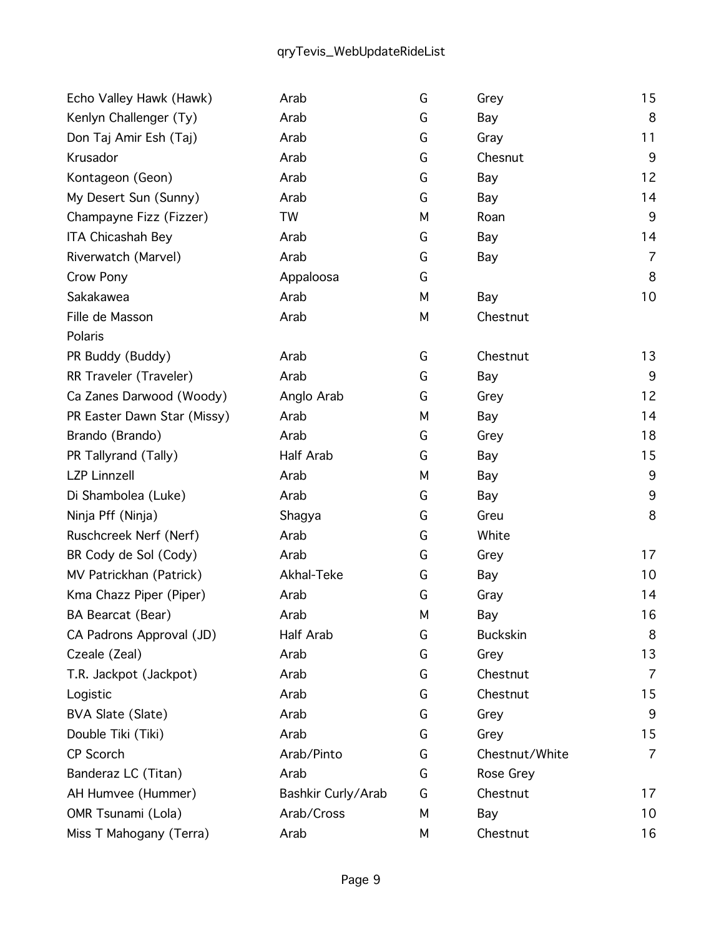## qryTevis\_WebUpdateRideList

| Echo Valley Hawk (Hawk)     | Arab               | G | Grey            | 15             |
|-----------------------------|--------------------|---|-----------------|----------------|
| Kenlyn Challenger (Ty)      | Arab               | G | Bay             | 8              |
| Don Taj Amir Esh (Taj)      | Arab               | G | Gray            | 11             |
| Krusador                    | Arab               | G | Chesnut         | 9              |
| Kontageon (Geon)            | Arab               | G | Bay             | 12             |
| My Desert Sun (Sunny)       | Arab               | G | Bay             | 14             |
| Champayne Fizz (Fizzer)     | TW                 | М | Roan            | $9$            |
| ITA Chicashah Bey           | Arab               | G | Bay             | 14             |
| Riverwatch (Marvel)         | Arab               | G | Bay             | $\overline{7}$ |
| Crow Pony                   | Appaloosa          | G |                 | 8              |
| Sakakawea                   | Arab               | M | Bay             | 10             |
| Fille de Masson             | Arab               | М | Chestnut        |                |
| Polaris                     |                    |   |                 |                |
| PR Buddy (Buddy)            | Arab               | G | Chestnut        | 13             |
| RR Traveler (Traveler)      | Arab               | G | Bay             | 9              |
| Ca Zanes Darwood (Woody)    | Anglo Arab         | G | Grey            | 12             |
| PR Easter Dawn Star (Missy) | Arab               | М | Bay             | 14             |
| Brando (Brando)             | Arab               | G | Grey            | 18             |
| PR Tallyrand (Tally)        | Half Arab          | G | Bay             | 15             |
| <b>LZP Linnzell</b>         | Arab               | М | Bay             | 9              |
| Di Shambolea (Luke)         | Arab               | G | Bay             | 9              |
| Ninja Pff (Ninja)           | Shagya             | G | Greu            | 8              |
| Ruschcreek Nerf (Nerf)      | Arab               | G | White           |                |
| BR Cody de Sol (Cody)       | Arab               | G | Grey            | 17             |
| MV Patrickhan (Patrick)     | Akhal-Teke         | G | Bay             | 10             |
| Kma Chazz Piper (Piper)     | Arab               | G | Gray            | 14             |
| BA Bearcat (Bear)           | Arab               | M | Bay             | 16             |
| CA Padrons Approval (JD)    | Half Arab          | G | <b>Buckskin</b> | 8              |
| Czeale (Zeal)               | Arab               | G | Grey            | 13             |
| T.R. Jackpot (Jackpot)      | Arab               | G | Chestnut        | $\overline{7}$ |
| Logistic                    | Arab               | G | Chestnut        | 15             |
| BVA Slate (Slate)           | Arab               | G | Grey            | 9              |
| Double Tiki (Tiki)          | Arab               | G | Grey            | 15             |
| CP Scorch                   | Arab/Pinto         | G | Chestnut/White  | $\overline{7}$ |
| Banderaz LC (Titan)         | Arab               | G | Rose Grey       |                |
| AH Humvee (Hummer)          | Bashkir Curly/Arab | G | Chestnut        | 17             |
| OMR Tsunami (Lola)          | Arab/Cross         | М | Bay             | 10             |
| Miss T Mahogany (Terra)     | Arab               | М | Chestnut        | 16             |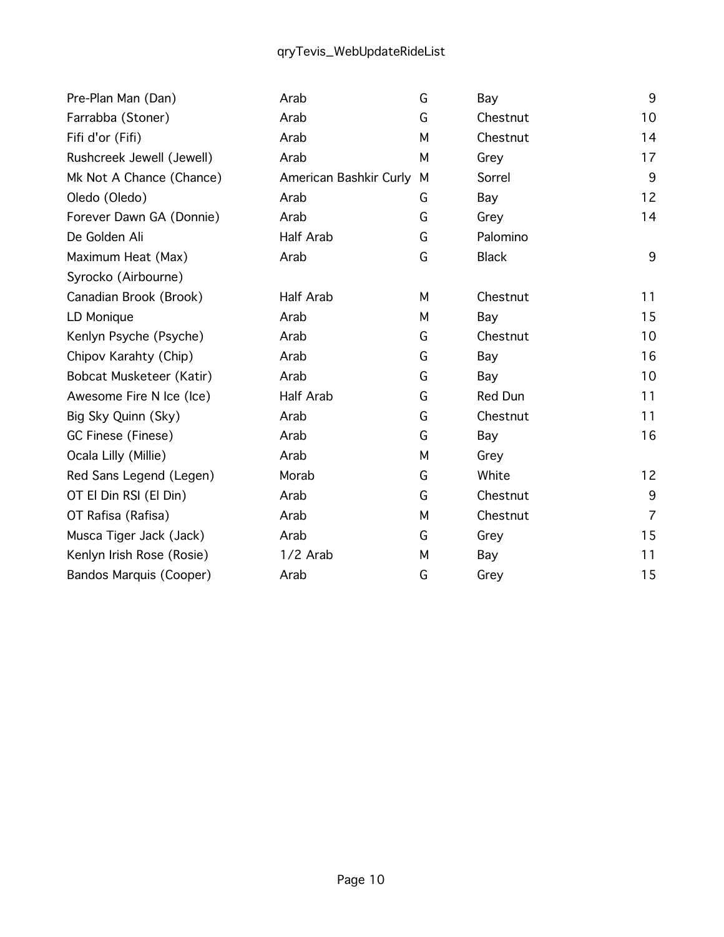## qryTevis\_WebUpdateRideList

| Pre-Plan Man (Dan)             | Arab                   | G | Bay          | 9              |
|--------------------------------|------------------------|---|--------------|----------------|
| Farrabba (Stoner)              | Arab                   | G | Chestnut     | 10             |
| Fifi d'or (Fifi)               | Arab                   | M | Chestnut     | 14             |
| Rushcreek Jewell (Jewell)      | Arab                   | M | Grey         | 17             |
| Mk Not A Chance (Chance)       | American Bashkir Curly | M | Sorrel       | 9              |
| Oledo (Oledo)                  | Arab                   | G | Bay          | 12             |
| Forever Dawn GA (Donnie)       | Arab                   | G | Grey         | 14             |
| De Golden Ali                  | Half Arab              | G | Palomino     |                |
| Maximum Heat (Max)             | Arab                   | G | <b>Black</b> | 9              |
| Syrocko (Airbourne)            |                        |   |              |                |
| Canadian Brook (Brook)         | Half Arab              | М | Chestnut     | 11             |
| LD Monique                     | Arab                   | М | Bay          | 15             |
| Kenlyn Psyche (Psyche)         | Arab                   | G | Chestnut     | 10             |
| Chipov Karahty (Chip)          | Arab                   | G | Bay          | 16             |
| Bobcat Musketeer (Katir)       | Arab                   | G | Bay          | 10             |
| Awesome Fire N Ice (Ice)       | Half Arab              | G | Red Dun      | 11             |
| Big Sky Quinn (Sky)            | Arab                   | G | Chestnut     | 11             |
| GC Finese (Finese)             | Arab                   | G | Bay          | 16             |
| Ocala Lilly (Millie)           | Arab                   | М | Grey         |                |
| Red Sans Legend (Legen)        | Morab                  | G | White        | 12             |
| OT El Din RSI (El Din)         | Arab                   | G | Chestnut     | $9\,$          |
| OT Rafisa (Rafisa)             | Arab                   | M | Chestnut     | $\overline{7}$ |
| Musca Tiger Jack (Jack)        | Arab                   | G | Grey         | 15             |
| Kenlyn Irish Rose (Rosie)      | 1/2 Arab               | М | Bay          | 11             |
| <b>Bandos Marquis (Cooper)</b> | Arab                   | G | Grey         | 15             |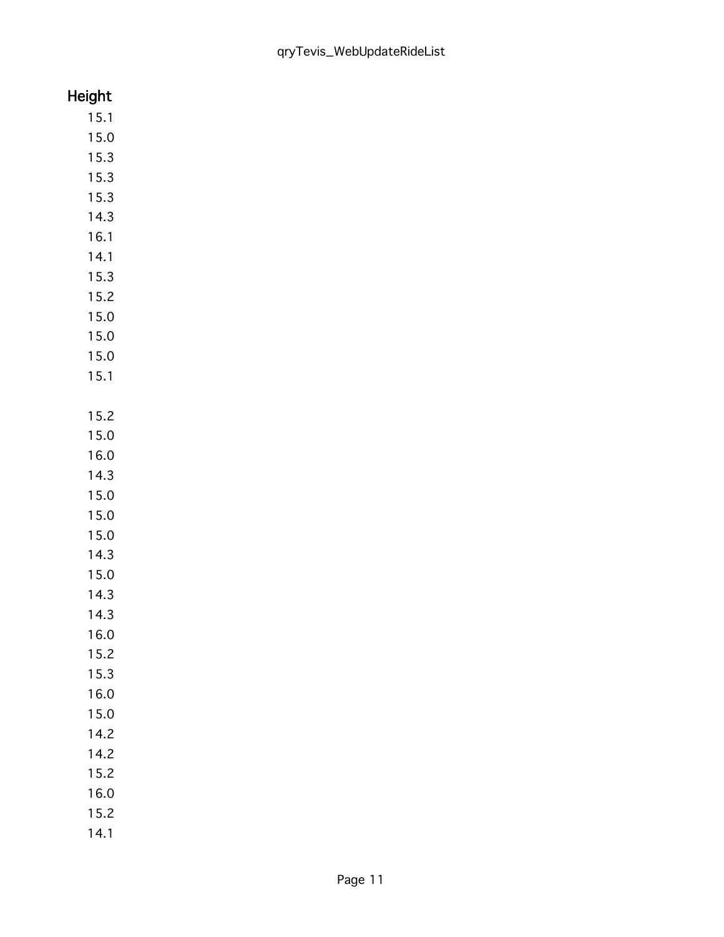## Height

- 15.1 15.0 15.3 15.3
- 15.3
- 14.3
- 16.1
- 14.1
- 15.3
- 15.2 15.0
- 15.0
- 15.0
- 15.1
- 15.2
- 15.0
- 16.0
- 14.3
- 15.0
- 15.0
- 15.0
- 14.3
- 15.0 14.3
- 14.3
- 16.0
- 
- 15.2
- 15.3
- 16.0
- 15.0 14.2
- 14.2
- 15.2
- 16.0
- 15.2
- 
- 14.1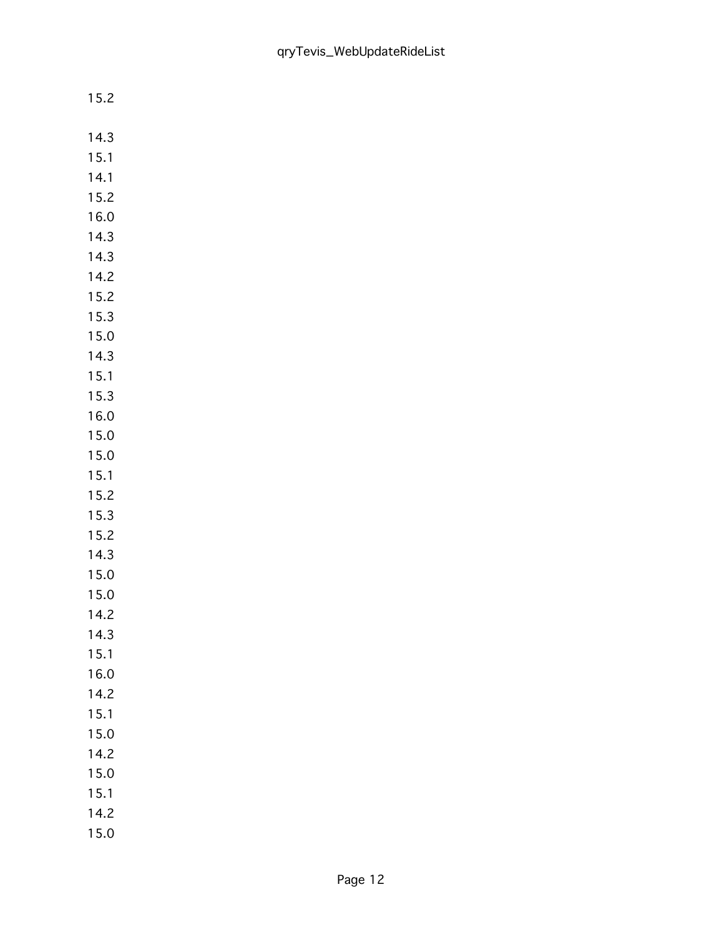| 14.3     |
|----------|
| 5.1<br>1 |
| 14.1     |
| 15.2     |
| 16.0     |
| 1<br>4.3 |
| 1<br>4.3 |
| 14.2     |
| 15.2     |
| 15.3     |
| 15.0     |
| 1<br>4.3 |
| 15.1     |
| 15.3     |
| 16.0     |
| 1<br>5.0 |
| 5.0<br>1 |
| 15.1     |
| 15.2     |
| 15.3     |
| 15.2     |
| 4.3<br>1 |
| 15.0     |
| 15.0     |
| 14.2     |
| 4.3<br>1 |
| 5.1<br>1 |
| 16.0     |
| 14.2     |
| 15.1     |
| 15.0     |
| 14.2     |
| 15.0     |
| 15.1     |
| 14.2     |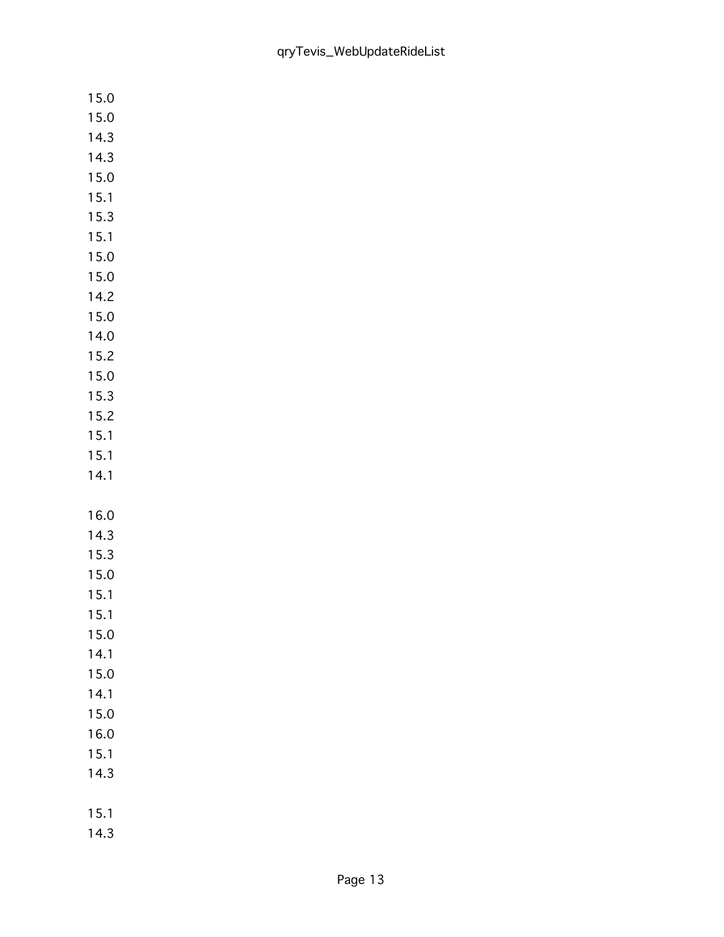| 15.0         |
|--------------|
| 15.0         |
| 14.3         |
| 14.3         |
| 15.0         |
| 15.1         |
| 15.3         |
| 15.1         |
| 15.0         |
| 15.0         |
| 14.2         |
| 15.0         |
| 14.0         |
| 15.2         |
| 15.0         |
| 15.3         |
| 15.2         |
| 15.1         |
| 15.1         |
|              |
| 14.1         |
|              |
| 16.0         |
| 14.3         |
| 15.3         |
| 15.0         |
| 15.1         |
| 15.1         |
| 15.0         |
| 14.1         |
| 15.0         |
| 14.1         |
| 15.0         |
| 16.0         |
| 15.1         |
| 14.3         |
|              |
| 15.1<br>14.3 |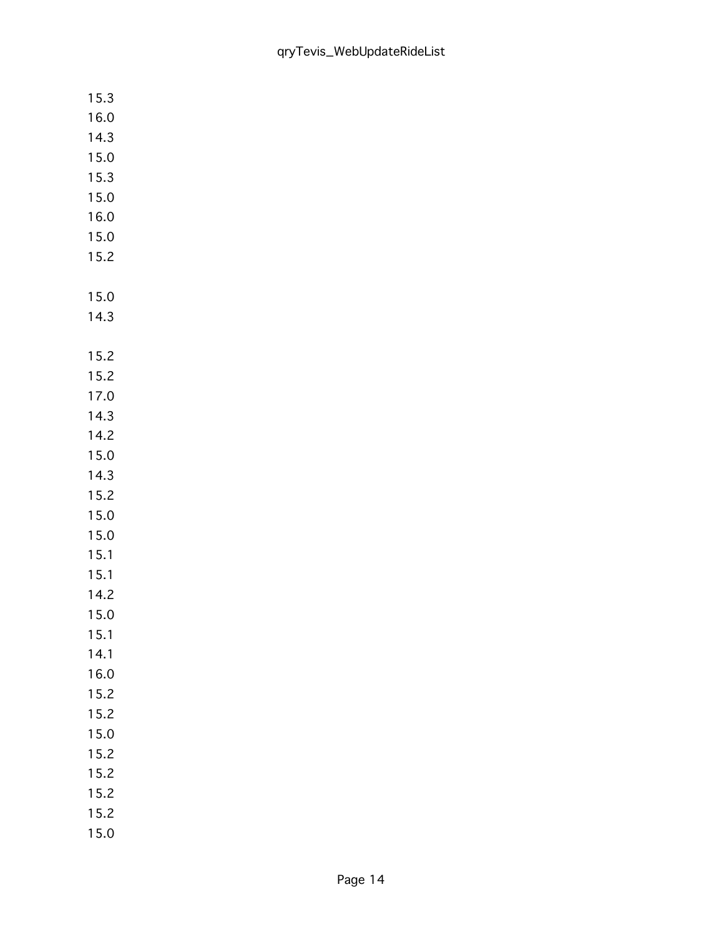| 15.3         |  |
|--------------|--|
| 16.0         |  |
| 14.3         |  |
| 15.0         |  |
| 15.3         |  |
| 15.0         |  |
| 16.0         |  |
| 15.0         |  |
| 15.2         |  |
|              |  |
| 15.0         |  |
| 14.3         |  |
|              |  |
| 15.2         |  |
| 15.2         |  |
| 17.0         |  |
| 14.3         |  |
| 14.2         |  |
| 15.0<br>14.3 |  |
| 15.2         |  |
| 15.0         |  |
| 15.0         |  |
| 15.1         |  |
| 15.1         |  |
| 14.2         |  |
| 15.0         |  |
| 15.1         |  |
| 14.1         |  |
| 16.0         |  |
| 15.2         |  |
| 15.2         |  |
| 15.0         |  |
| 15.2         |  |
| 15.2         |  |
| 15.2         |  |
| 15.2         |  |
| 15.0         |  |